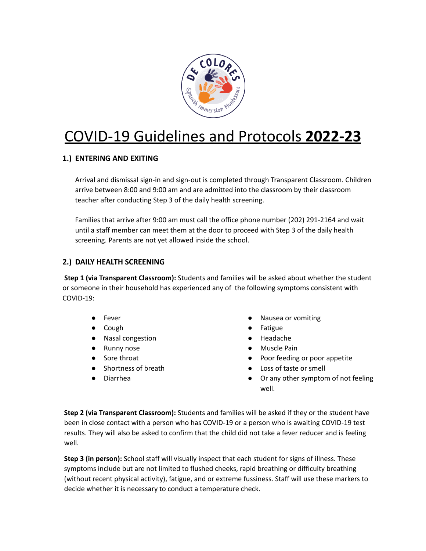

# COVID-19 Guidelines and Protocols **2022-23**

## **1.) ENTERING AND EXITING**

Arrival and dismissal sign-in and sign-out is completed through Transparent Classroom. Children arrive between 8:00 and 9:00 am and are admitted into the classroom by their classroom teacher after conducting Step 3 of the daily health screening.

Families that arrive after 9:00 am must call the office phone number (202) 291-2164 and wait until a staff member can meet them at the door to proceed with Step 3 of the daily health screening. Parents are not yet allowed inside the school.

### **2.) DAILY HEALTH SCREENING**

**Step 1 (via Transparent Classroom):** Students and families will be asked about whether the student or someone in their household has experienced any of the following symptoms consistent with COVID-19:

- **Fever**
- Cough
- Nasal congestion
- Runny nose
- Sore throat
- Shortness of breath
- Diarrhea
- Nausea or vomiting
- **Fatigue**
- Headache
- Muscle Pain
- Poor feeding or poor appetite
- Loss of taste or smell
- Or any other symptom of not feeling well.

**Step 2 (via Transparent Classroom):** Students and families will be asked if they or the student have been in close contact with a person who has COVID-19 or a person who is awaiting COVID-19 test results. They will also be asked to confirm that the child did not take a fever reducer and is feeling well.

**Step 3 (in person):** School staff will visually inspect that each student for signs of illness. These symptoms include but are not limited to flushed cheeks, rapid breathing or difficulty breathing (without recent physical activity), fatigue, and or extreme fussiness. Staff will use these markers to decide whether it is necessary to conduct a temperature check.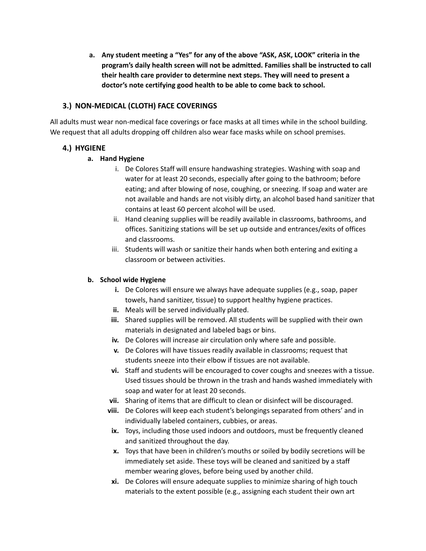**a. Any student meeting a "Yes" for any of the above "ASK, ASK, LOOK" criteria in the program's daily health screen will not be admitted. Families shall be instructed to call their health care provider to determine next steps. They will need to present a doctor's note certifying good health to be able to come back to school.**

#### **3.) NON-MEDICAL (CLOTH) FACE COVERINGS**

All adults must wear non-medical face coverings or face masks at all times while in the school building. We request that all adults dropping off children also wear face masks while on school premises.

#### **4.) HYGIENE**

#### **a. Hand Hygiene**

- i. De Colores Staff will ensure handwashing strategies. Washing with soap and water for at least 20 seconds, especially after going to the bathroom; before eating; and after blowing of nose, coughing, or sneezing. If soap and water are not available and hands are not visibly dirty, an alcohol based hand sanitizer that contains at least 60 percent alcohol will be used.
- ii. Hand cleaning supplies will be readily available in classrooms, bathrooms, and offices. Sanitizing stations will be set up outside and entrances/exits of offices and classrooms.
- iii. Students will wash or sanitize their hands when both entering and exiting a classroom or between activities.

#### **b. School wide Hygiene**

- **i.** De Colores will ensure we always have adequate supplies (e.g., soap, paper towels, hand sanitizer, tissue) to support healthy hygiene practices.
- **ii.** Meals will be served individually plated.
- **iii.** Shared supplies will be removed. All students will be supplied with their own materials in designated and labeled bags or bins.
- **iv.** De Colores will increase air circulation only where safe and possible.
- **v.** De Colores will have tissues readily available in classrooms; request that students sneeze into their elbow if tissues are not available.
- **vi.** Staff and students will be encouraged to cover coughs and sneezes with a tissue. Used tissues should be thrown in the trash and hands washed immediately with soap and water for at least 20 seconds.
- **vii.** Sharing of items that are difficult to clean or disinfect will be discouraged.
- **viii.** De Colores will keep each student's belongings separated from others' and in individually labeled containers, cubbies, or areas.
- **ix.** Toys, including those used indoors and outdoors, must be frequently cleaned and sanitized throughout the day.
- **x.** Toys that have been in children's mouths or soiled by bodily secretions will be immediately set aside. These toys will be cleaned and sanitized by a staff member wearing gloves, before being used by another child.
- **xi.** De Colores will ensure adequate supplies to minimize sharing of high touch materials to the extent possible (e.g., assigning each student their own art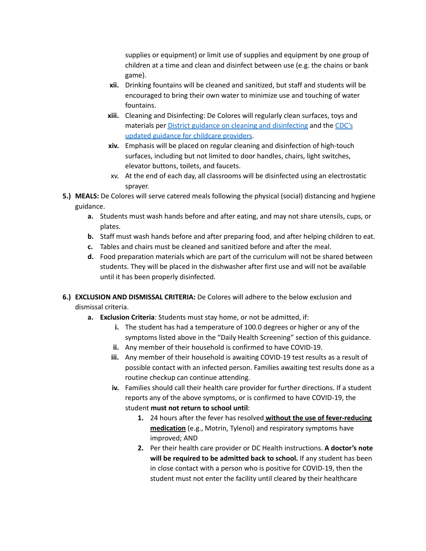supplies or equipment) or limit use of supplies and equipment by one group of children at a time and clean and disinfect between use (e.g. the chains or bank game).

- **xii.** Drinking fountains will be cleaned and sanitized, but staff and students will be encouraged to bring their own water to minimize use and touching of water fountains.
- **xiii.** Cleaning and Disinfecting: De Colores will regularly clean surfaces, toys and materials per District guidance on cleaning and [disinfecting](https://osse.dc.gov/sites/default/files/dc/sites/osse/page_content/attachments/COVID-19%20-%20Cleaning%20Guidance.pdf) and the [CDC's](https://www.cdc.gov/coronavirus/2019-ncov/community/reopen-guidance.html) updated guidance for childcare [providers](https://www.cdc.gov/coronavirus/2019-ncov/community/reopen-guidance.html).
- **xiv.** Emphasis will be placed on regular cleaning and disinfection of high-touch surfaces, including but not limited to door handles, chairs, light switches, elevator buttons, toilets, and faucets.
- xv. At the end of each day, all classrooms will be disinfected using an electrostatic sprayer.
- **5.) MEALS:** De Colores will serve catered meals following the physical (social) distancing and hygiene guidance.
	- **a.** Students must wash hands before and after eating, and may not share utensils, cups, or plates.
	- **b.** Staff must wash hands before and after preparing food, and after helping children to eat.
	- **c.** Tables and chairs must be cleaned and sanitized before and after the meal.
	- **d.** Food preparation materials which are part of the curriculum will not be shared between students. They will be placed in the dishwasher after first use and will not be available until it has been properly disinfected.
- **6.) EXCLUSION AND DISMISSAL CRITERIA:** De Colores will adhere to the below exclusion and dismissal criteria.
	- **a. Exclusion Criteria**: Students must stay home, or not be admitted, if:
		- **i.** The student has had a temperature of 100.0 degrees or higher or any of the symptoms listed above in the "Daily Health Screening" section of this guidance.
		- **ii.** Any member of their household is confirmed to have COVID-19.
		- **iii.** Any member of their household is awaiting COVID-19 test results as a result of possible contact with an infected person. Families awaiting test results done as a routine checkup can continue attending.
		- **iv.** Families should call their health care provider for further directions. If a student reports any of the above symptoms, or is confirmed to have COVID-19, the student **must not return to school until**:
			- **1.** 24 hours after the fever has resolved **without the use of fever-reducing medication** (e.g., Motrin, Tylenol) and respiratory symptoms have improved; AND
			- **2.** Per their health care provider or DC Health instructions. **A doctor's note will be required to be admitted back to school.** If any student has been in close contact with a person who is positive for COVID-19, then the student must not enter the facility until cleared by their healthcare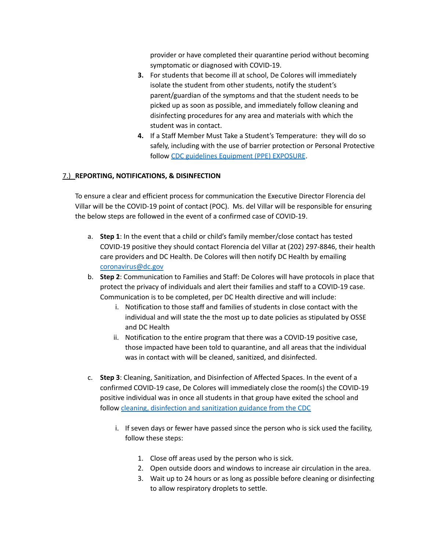provider or have completed their quarantine period without becoming symptomatic or diagnosed with COVID-19.

- **3.** For students that become ill at school, De Colores will immediately isolate the student from other students, notify the student's parent/guardian of the symptoms and that the student needs to be picked up as soon as possible, and immediately follow cleaning and disinfecting procedures for any area and materials with which the student was in contact.
- **4.** If a Staff Member Must Take a Student's Temperature: they will do so safely, including with the use of barrier protection or Personal Protective follow CDC guidelines [Equipment](https://www.cdc.gov/coronavirus/2019-ncov/downloads/A_FS_HCP_COVID19_PPE_11x17.pdf) (PPE) EXPOSURE.

#### 7.) **REPORTING, NOTIFICATIONS, & DISINFECTION**

To ensure a clear and efficient process for communication the Executive Director Florencia del Villar will be the COVID-19 point of contact (POC). Ms. del Villar will be responsible for ensuring the below steps are followed in the event of a confirmed case of COVID-19.

- a. **Step 1**: In the event that a child or child's family member/close contact has tested COVID-19 positive they should contact Florencia del Villar at (202) 297-8846, their health care providers and DC Health. De Colores will then notify DC Health by emailing [coronavirus@dc.gov](mailto:coronavirus@dc.gov)
- b. **Step 2**: Communication to Families and Staff: De Colores will have protocols in place that protect the privacy of individuals and alert their families and staff to a COVID-19 case. Communication is to be completed, per DC Health directive and will include:
	- i. Notification to those staff and families of students in close contact with the individual and will state the the most up to date policies as stipulated by OSSE and DC Health
	- ii. Notification to the entire program that there was a COVID-19 positive case, those impacted have been told to quarantine, and all areas that the individual was in contact with will be cleaned, sanitized, and disinfected.
- c. **Step 3**: Cleaning, Sanitization, and Disinfection of Affected Spaces. In the event of a confirmed COVID-19 case, De Colores will immediately close the room(s) the COVID-19 positive individual was in once all students in that group have exited the school and follow cleaning, [disinfection](https://www.cdc.gov/coronavirus/2019-ncov/community/disinfecting-building-facility.html) and sanitization guidance from the CDC
	- i. If seven days or fewer have passed since the person who is sick used the facility, follow these steps:
		- 1. Close off areas used by the person who is sick.
		- 2. Open outside doors and windows to increase air circulation in the area.
		- 3. Wait up to 24 hours or as long as possible before cleaning or disinfecting to allow respiratory droplets to settle.